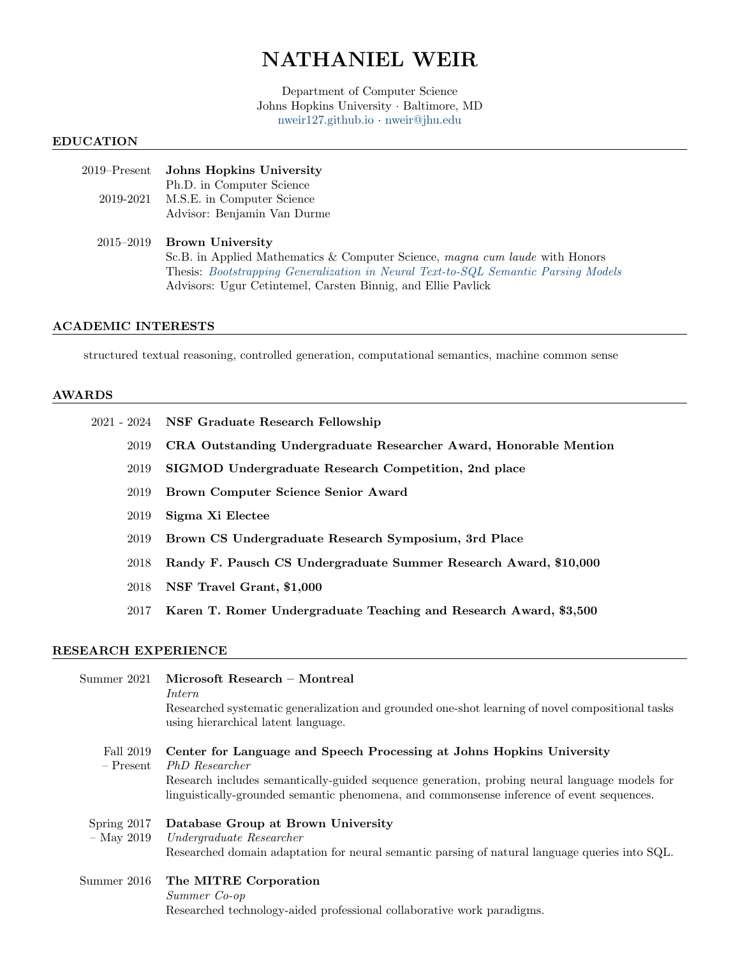# NATHANIEL WEIR

Department of Computer Science Johns Hopkins University · Baltimore, MD <nweir127.github.io> · [nweir@jhu.edu](mailto:nweir@jhu.edu)

#### EDUCATION

## 2019–Present Johns Hopkins University Ph.D. in Computer Science 2019-2021 M.S.E. in Computer Science Advisor: Benjamin Van Durme

## 2015–2019 Brown University Sc.B. in Applied Mathematics & Computer Science, magna cum laude with Honors Thesis: [Bootstrapping Generalization in Neural Text-to-SQL Semantic Parsing Models](https://nweir127.github.io/assets/papers/nweir_ugrad_thesis.pdf) Advisors: Ugur Cetintemel, Carsten Binnig, and Ellie Pavlick

### ACADEMIC INTERESTS

structured textual reasoning, controlled generation, computational semantics, machine common sense

#### AWARDS

- 2021 2024 NSF Graduate Research Fellowship
	- 2019 CRA Outstanding Undergraduate Researcher Award, Honorable Mention
	- 2019 SIGMOD Undergraduate Research Competition, 2nd place
	- 2019 Brown Computer Science Senior Award
	- 2019 Sigma Xi Electee
	- 2019 Brown CS Undergraduate Research Symposium, 3rd Place
	- 2018 Randy F. Pausch CS Undergraduate Summer Research Award, \$10,000
	- 2018 NSF Travel Grant, \$1,000
	- 2017 Karen T. Romer Undergraduate Teaching and Research Award, \$3,500

## RESEARCH EXPERIENCE

| Summer 2021                 | Microsoft Research – Montreal<br>Intern<br>Researched systematic generalization and grounded one-shot learning of novel compositional tasks<br>using hierarchical latent language.                                                                                                    |
|-----------------------------|---------------------------------------------------------------------------------------------------------------------------------------------------------------------------------------------------------------------------------------------------------------------------------------|
| Fall 2019<br>$-$ Present    | Center for Language and Speech Processing at Johns Hopkins University<br>PhD Researcher<br>Research includes semantically-guided sequence generation, probing neural language models for<br>linguistically-grounded semantic phenomena, and commonsense inference of event sequences. |
| Spring 2017<br>$-$ May 2019 | Database Group at Brown University<br>Undergraduate Researcher<br>Researched domain adaptation for neural semantic parsing of natural language queries into SQL.                                                                                                                      |
| Summer 2016                 | The MITRE Corporation<br>Summer Co-op<br>Researched technology-aided professional collaborative work paradigms.                                                                                                                                                                       |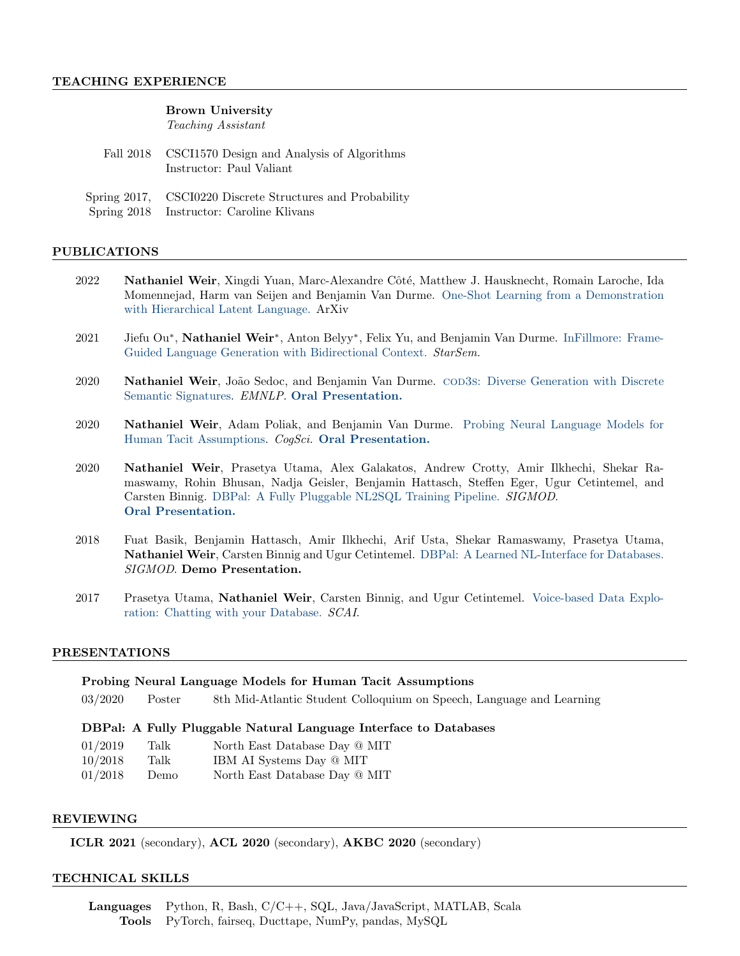### Brown University

Teaching Assistant

| Fall 2018 CSCI1570 Design and Analysis of Algorithms<br>Instructor: Paul Valiant |
|----------------------------------------------------------------------------------|
| Spring 2017, CSCI0220 Discrete Structures and Probability                        |

Spring 2018 Instructor: Caroline Klivans

## PUBLICATIONS

- 2022 Nathaniel Weir, Xingdi Yuan, Marc-Alexandre Côté, Matthew J. Hausknecht, Romain Laroche, Ida Momennejad, Harm van Seijen and Benjamin Van Durme. [One-Shot Learning from a Demonstration](https://arxiv.org/abs/2203.04806) [with Hierarchical Latent Language.](https://arxiv.org/abs/2203.04806) ArXiv
- 2021 Jiefu Ou<sup>∗</sup>, Nathaniel Weir<sup>∗</sup>, Anton Belyy<sup>∗</sup>, Felix Yu, and Benjamin Van Durme. [InFillmore: Frame-](https://aclanthology.org/2021.starsem-1.12.pdf)[Guided Language Generation with Bidirectional Context.](https://aclanthology.org/2021.starsem-1.12.pdf) StarSem.
- 2020 **Nathaniel Weir**, João Sedoc, and Benjamin Van Durme. COD3s[: Diverse Generation with Discrete](https://www.aclweb.org/anthology/2020.emnlp-main.421/) [Semantic Signatures.](https://www.aclweb.org/anthology/2020.emnlp-main.421/) EMNLP. [Oral Presentation.](https://slideslive.com/38939341/cod3s-diverse-generation-with-discrete-semantic-signatures)
- 2020 Nathaniel Weir, Adam Poliak, and Benjamin Van Durme. [Probing Neural Language Models for](https://arxiv.org/abs/2004.04877) [Human Tacit Assumptions.](https://arxiv.org/abs/2004.04877) CogSci. [Oral Presentation.](https://youtu.be/C1oVXjjnxEc)
- 2020 Nathaniel Weir, Prasetya Utama, Alex Galakatos, Andrew Crotty, Amir Ilkhechi, Shekar Ramaswamy, Rohin Bhusan, Nadja Geisler, Benjamin Hattasch, Steffen Eger, Ugur Cetintemel, and Carsten Binnig. [DBPal: A Fully Pluggable NL2SQL Training Pipeline.](https://dl.acm.org/doi/abs/10.1145/3318464.3380589) SIGMOD. [Oral Presentation.](https://dl.acm.org/doi/abs/10.1145/3318464.3380589#sec-supp)
- 2018 Fuat Basik, Benjamin Hattasch, Amir Ilkhechi, Arif Usta, Shekar Ramaswamy, Prasetya Utama, Nathaniel Weir, Carsten Binnig and Ugur Cetintemel. [DBPal: A Learned NL-Interface for Databases.](https://dl.acm.org/citation.cfm?id=3193562) SIGMOD. Demo Presentation.
- 2017 Prasetya Utama, Nathaniel Weir, Carsten Binnig, and Ugur Cetintemel. [Voice-based Data Explo](https://scai.info/papers/SCAI2017_EchoQuery.pdf)[ration: Chatting with your Database.](https://scai.info/papers/SCAI2017_EchoQuery.pdf) SCAI.

#### PRESENTATIONS

#### Probing Neural Language Models for Human Tacit Assumptions

03/2020 Poster 8th Mid-Atlantic Student Colloquium on Speech, Language and Learning

## DBPal: A Fully Pluggable Natural Language Interface to Databases

| 01/2019 | Talk | North East Database Day @ MIT |
|---------|------|-------------------------------|
| 10/2018 | Talk | IBM AI Systems Day @ MIT      |
| 01/2018 | Demo | North East Database Day @ MIT |

#### REVIEWING

ICLR 2021 (secondary), ACL 2020 (secondary), AKBC 2020 (secondary)

#### TECHNICAL SKILLS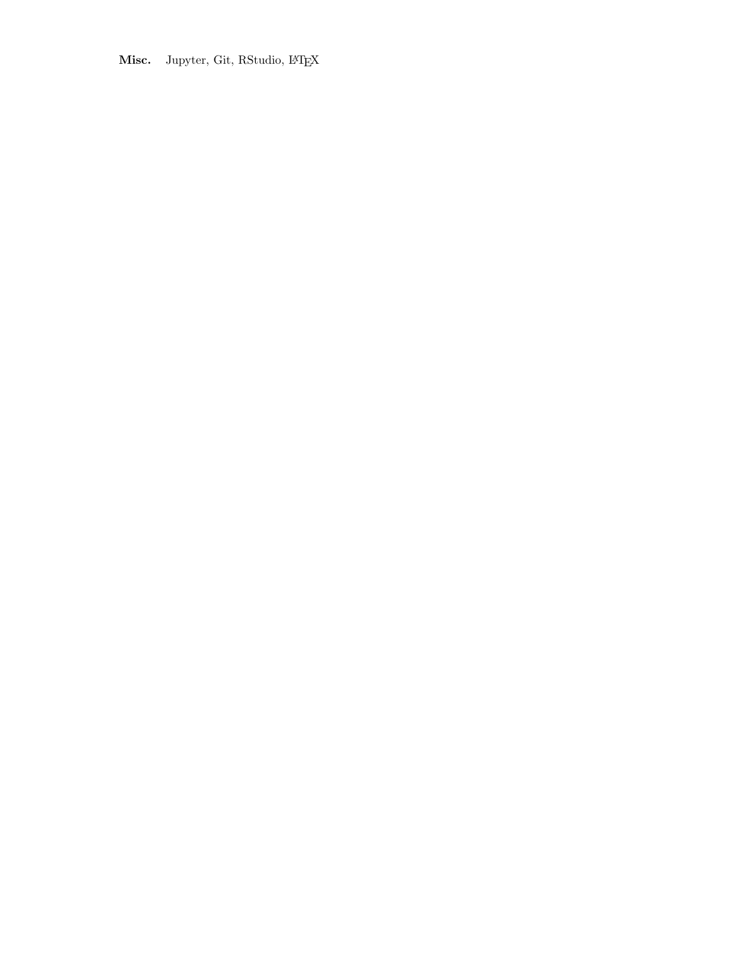Misc. Jupyter, Git, RStudio, IATEX